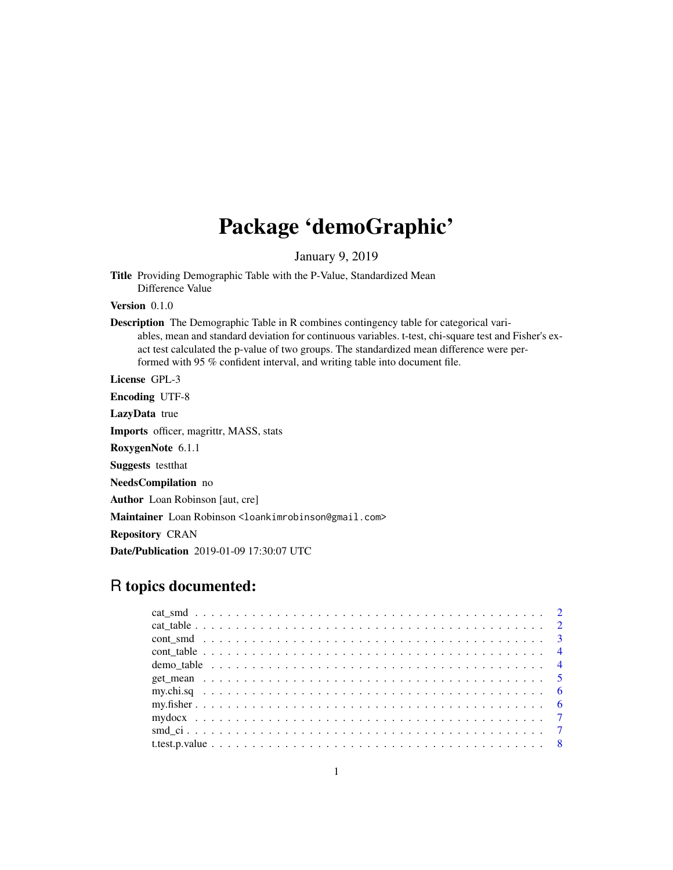## Package 'demoGraphic'

January 9, 2019

Title Providing Demographic Table with the P-Value, Standardized Mean Difference Value

Version 0.1.0

Description The Demographic Table in R combines contingency table for categorical variables, mean and standard deviation for continuous variables. t-test, chi-square test and Fisher's exact test calculated the p-value of two groups. The standardized mean difference were performed with 95 % confident interval, and writing table into document file.

License GPL-3

Encoding UTF-8

LazyData true

Imports officer, magrittr, MASS, stats

RoxygenNote 6.1.1

Suggests testthat

NeedsCompilation no

Author Loan Robinson [aut, cre]

Maintainer Loan Robinson <loankimrobinson@gmail.com>

Repository CRAN

Date/Publication 2019-01-09 17:30:07 UTC

### R topics documented: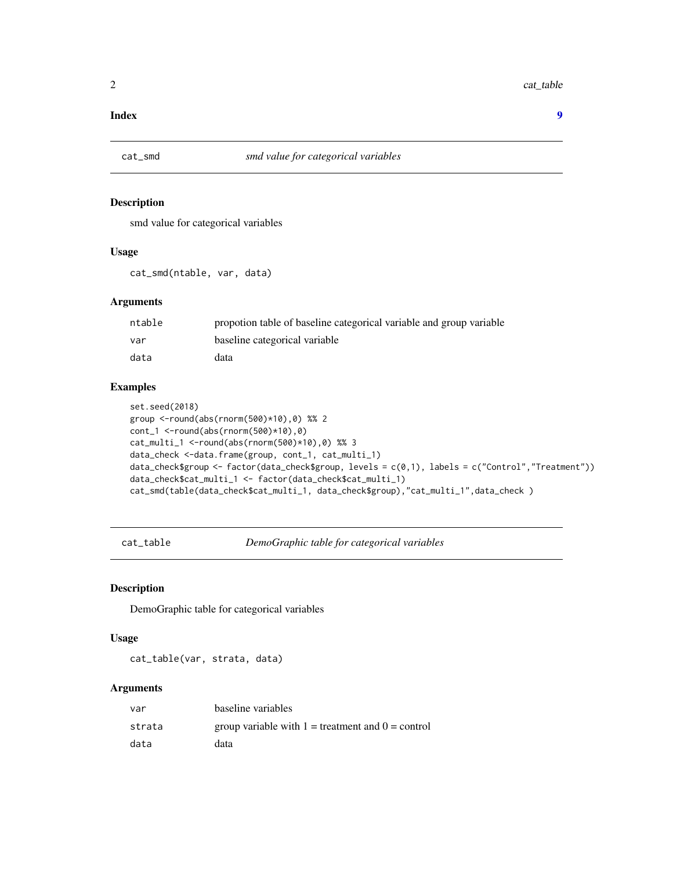#### <span id="page-1-0"></span>**Index** [9](#page-8-0)

#### Description

smd value for categorical variables

#### Usage

cat\_smd(ntable, var, data)

#### Arguments

| ntable | propotion table of baseline categorical variable and group variable |
|--------|---------------------------------------------------------------------|
| var    | baseline categorical variable                                       |
| data   | data                                                                |

#### Examples

```
set.seed(2018)
group <-round(abs(rnorm(500)*10),0) %% 2
cont_1 <-round(abs(rnorm(500)*10),0)
cat_multi_1 <-round(abs(rnorm(500)*10),0) %% 3
data_check <-data.frame(group, cont_1, cat_multi_1)
data_check$group <- factor(data_check$group, levels = c(0,1), labels = c("Control","Treatment"))
data_check$cat_multi_1 <- factor(data_check$cat_multi_1)
cat_smd(table(data_check$cat_multi_1, data_check$group),"cat_multi_1",data_check )
```
cat\_table *DemoGraphic table for categorical variables*

#### Description

DemoGraphic table for categorical variables

#### Usage

cat\_table(var, strata, data)

#### Arguments

| var    | baseline variables                                    |
|--------|-------------------------------------------------------|
| strata | group variable with $1 =$ treatment and $0 =$ control |
| data   | data                                                  |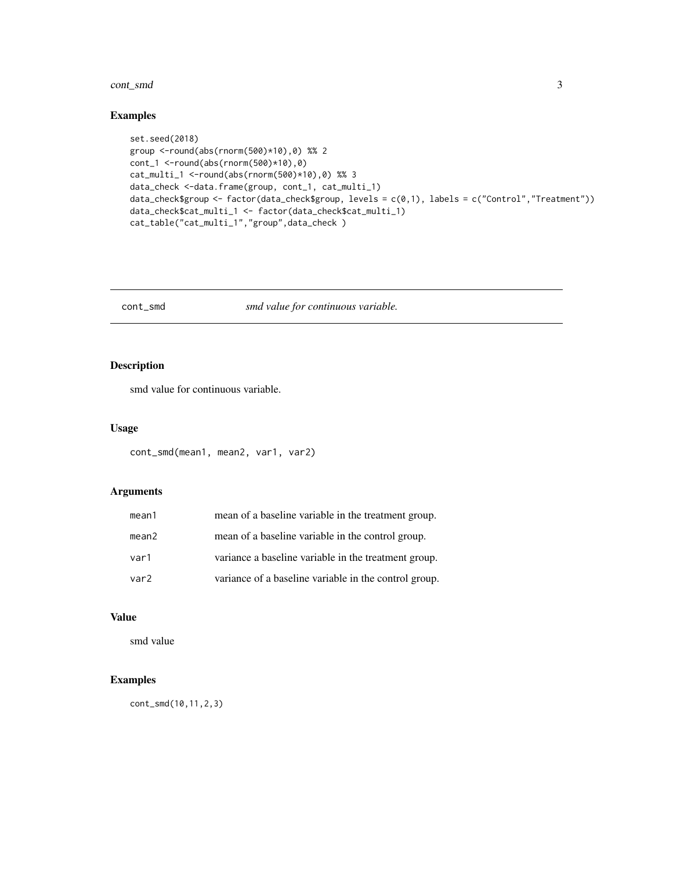#### <span id="page-2-0"></span>cont\_smd 3

#### Examples

```
set.seed(2018)
group <-round(abs(rnorm(500)*10),0) %% 2
cont_1 <-round(abs(rnorm(500)*10),0)
cat_multi_1 <-round(abs(rnorm(500)*10),0) %% 3
data_check <-data.frame(group, cont_1, cat_multi_1)
data_check$group <- factor(data_check$group, levels = c(0,1), labels = c("Control","Treatment"))
data_check$cat_multi_1 <- factor(data_check$cat_multi_1)
cat_table("cat_multi_1","group",data_check )
```
cont\_smd *smd value for continuous variable.*

#### Description

smd value for continuous variable.

#### Usage

```
cont_smd(mean1, mean2, var1, var2)
```
#### Arguments

| mean1 | mean of a baseline variable in the treatment group.   |
|-------|-------------------------------------------------------|
| mean2 | mean of a baseline variable in the control group.     |
| var1  | variance a baseline variable in the treatment group.  |
| var2  | variance of a baseline variable in the control group. |

#### Value

smd value

#### Examples

cont\_smd(10,11,2,3)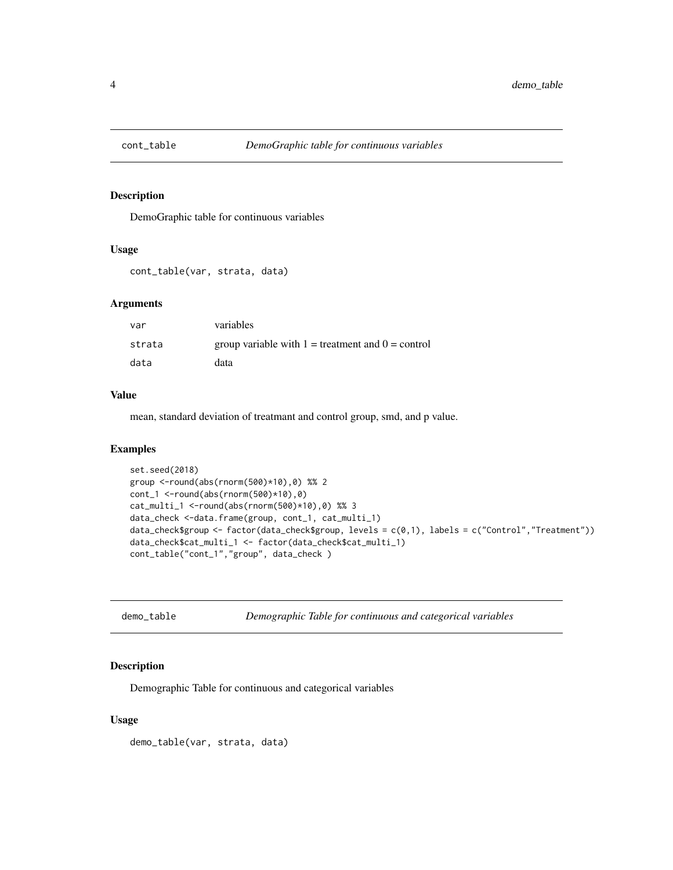<span id="page-3-0"></span>

#### Description

DemoGraphic table for continuous variables

#### Usage

```
cont_table(var, strata, data)
```
#### Arguments

| var    | variables                                             |
|--------|-------------------------------------------------------|
| strata | group variable with $1 =$ treatment and $0 =$ control |
| data   | data                                                  |

#### Value

mean, standard deviation of treatmant and control group, smd, and p value.

#### Examples

```
set.seed(2018)
group <-round(abs(rnorm(500)*10),0) %% 2
cont_1 <-round(abs(rnorm(500)*10),0)
cat_multi_1 <-round(abs(rnorm(500)*10),0) %% 3
data_check <-data.frame(group, cont_1, cat_multi_1)
data_check$group <- factor(data_check$group, levels = c(0,1), labels = c("Control","Treatment"))
data_check$cat_multi_1 <- factor(data_check$cat_multi_1)
cont_table("cont_1","group", data_check )
```

| demo table |  |  |
|------------|--|--|
|------------|--|--|

demo\_table *Demographic Table for continuous and categorical variables*

#### Description

Demographic Table for continuous and categorical variables

#### Usage

demo\_table(var, strata, data)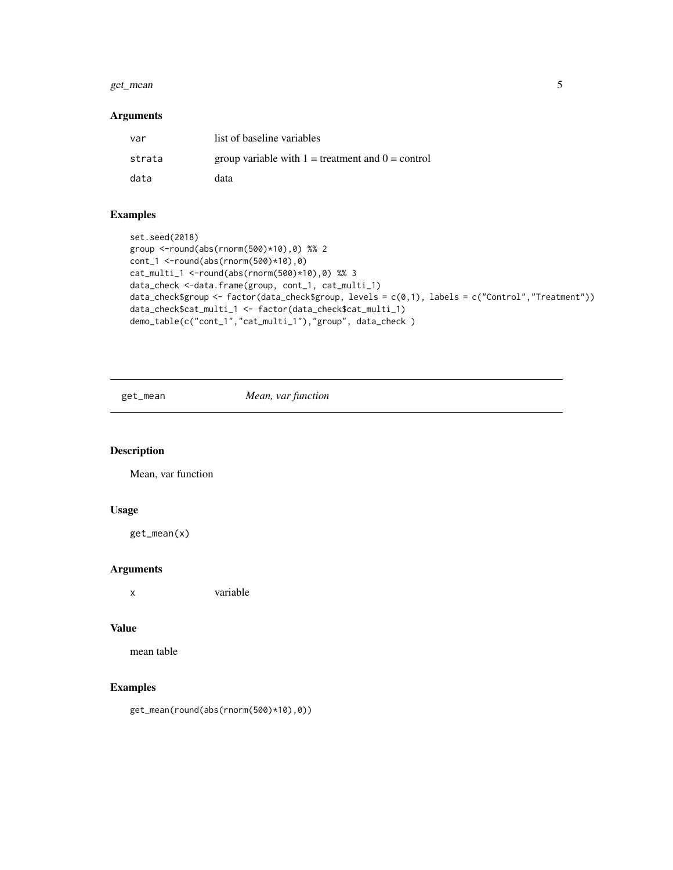#### <span id="page-4-0"></span>get\_mean 5

#### Arguments

| var    | list of baseline variables                            |
|--------|-------------------------------------------------------|
| strata | group variable with $1 =$ treatment and $0 =$ control |
| data   | data                                                  |

#### Examples

```
set.seed(2018)
group <-round(abs(rnorm(500)*10),0) %% 2
cont_1 <-round(abs(rnorm(500)*10),0)
cat_multi_1 <-round(abs(rnorm(500)*10),0) %% 3
data_check <-data.frame(group, cont_1, cat_multi_1)
data_check$group <- factor(data_check$group, levels = c(0,1), labels = c("Control","Treatment"))
data_check$cat_multi_1 <- factor(data_check$cat_multi_1)
demo_table(c("cont_1","cat_multi_1"),"group", data_check )
```
get\_mean *Mean, var function*

#### Description

Mean, var function

#### Usage

get\_mean(x)

#### Arguments

x variable

#### Value

mean table

#### Examples

get\_mean(round(abs(rnorm(500)\*10),0))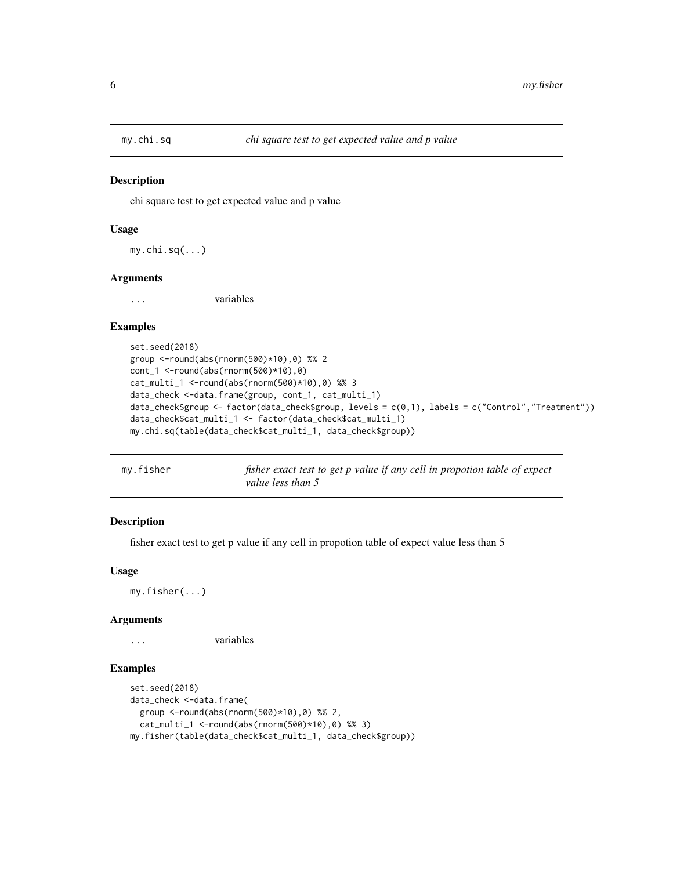<span id="page-5-0"></span>

#### Description

chi square test to get expected value and p value

#### Usage

my.chi.sq(...)

#### Arguments

... variables

#### Examples

```
set.seed(2018)
group <-round(abs(rnorm(500)*10),0) %% 2
cont_1 <-round(abs(rnorm(500)*10),0)
cat_multi_1 <-round(abs(rnorm(500)*10),0) %% 3
data_check <-data.frame(group, cont_1, cat_multi_1)
data_check$group <- factor(data_check$group, levels = c(0,1), labels = c("Control","Treatment"))
data_check$cat_multi_1 <- factor(data_check$cat_multi_1)
my.chi.sq(table(data_check$cat_multi_1, data_check$group))
```

| my.fisher |                   | fisher exact test to get p value if any cell in propotion table of expect |  |
|-----------|-------------------|---------------------------------------------------------------------------|--|
|           | value less than 5 |                                                                           |  |

#### Description

fisher exact test to get p value if any cell in propotion table of expect value less than 5

#### Usage

my.fisher(...)

#### Arguments

... variables

#### Examples

```
set.seed(2018)
data_check <-data.frame(
 group <-round(abs(rnorm(500)*10),0) %% 2,
 cat_multi_1 <-round(abs(rnorm(500)*10),0) %% 3)
my.fisher(table(data_check$cat_multi_1, data_check$group))
```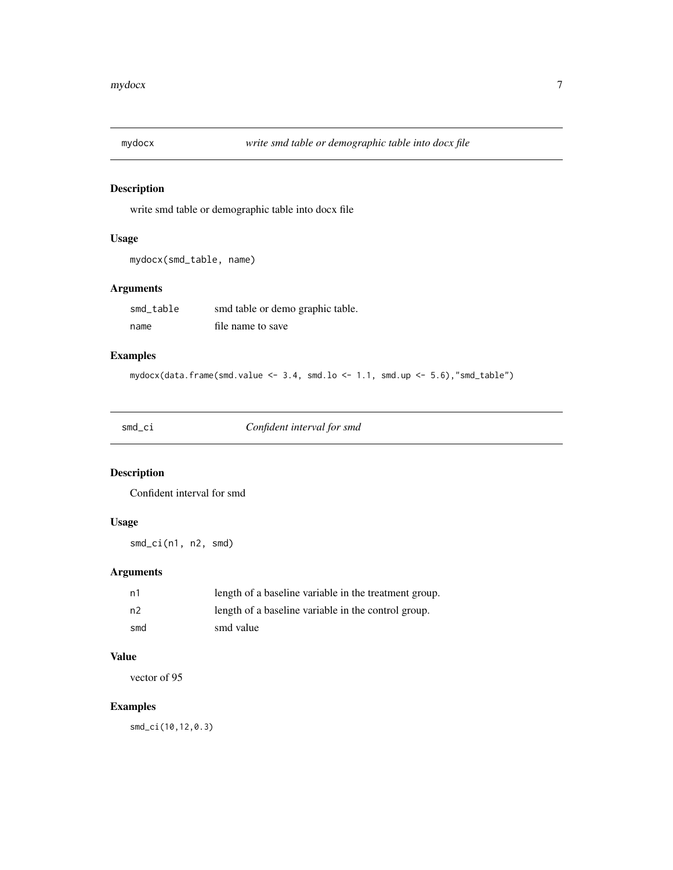<span id="page-6-0"></span>

#### Description

write smd table or demographic table into docx file

#### Usage

```
mydocx(smd_table, name)
```
#### Arguments

| smd table | smd table or demo graphic table. |
|-----------|----------------------------------|
| name      | file name to save                |

#### Examples

mydocx(data.frame(smd.value <- 3.4, smd.lo <- 1.1, smd.up <- 5.6),"smd\_table")

smd\_ci *Confident interval for smd*

#### Description

Confident interval for smd

#### Usage

smd\_ci(n1, n2, smd)

#### Arguments

| n1  | length of a baseline variable in the treatment group. |
|-----|-------------------------------------------------------|
| n2  | length of a baseline variable in the control group.   |
| smd | smd value                                             |

#### Value

vector of 95

#### Examples

smd\_ci(10,12,0.3)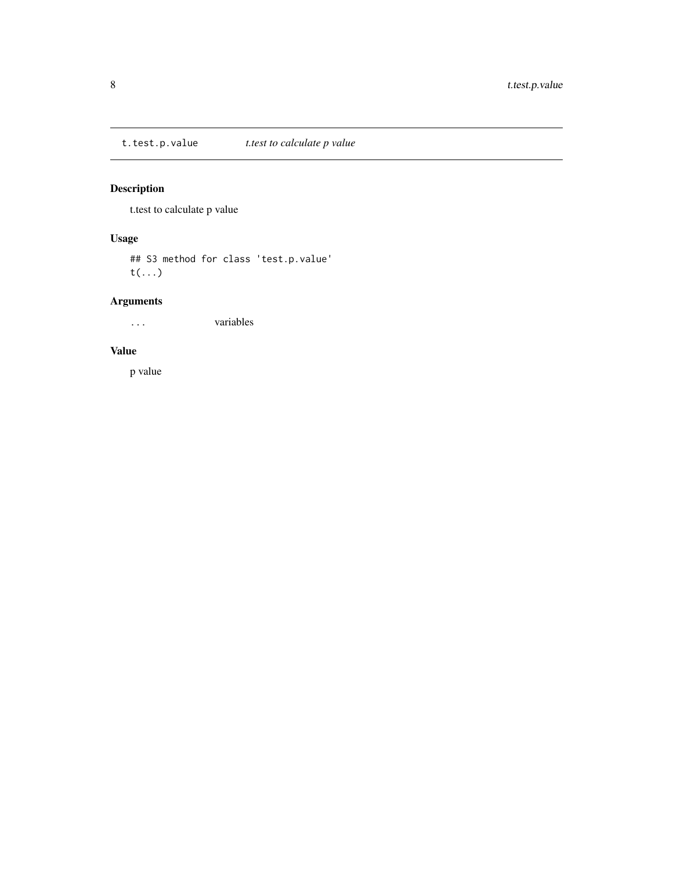<span id="page-7-0"></span>t.test.p.value *t.test to calculate p value*

#### Description

t.test to calculate p value

#### Usage

## S3 method for class 'test.p.value' t(...)

#### Arguments

... variables

#### Value

p value